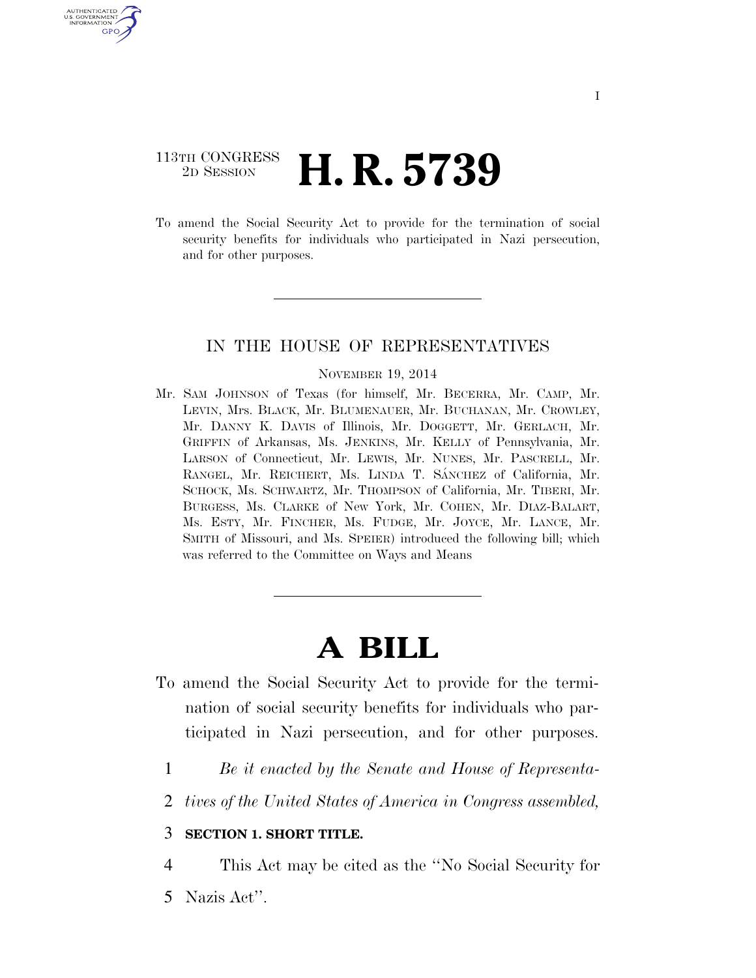# 113TH CONGRESS <sup>2D SESSION</sup> **H. R. 5739**

U.S. GOVERNMENT GPO

> To amend the Social Security Act to provide for the termination of social security benefits for individuals who participated in Nazi persecution, and for other purposes.

## IN THE HOUSE OF REPRESENTATIVES

#### NOVEMBER 19, 2014

Mr. SAM JOHNSON of Texas (for himself, Mr. BECERRA, Mr. CAMP, Mr. LEVIN, Mrs. BLACK, Mr. BLUMENAUER, Mr. BUCHANAN, Mr. CROWLEY, Mr. DANNY K. DAVIS of Illinois, Mr. DOGGETT, Mr. GERLACH, Mr. GRIFFIN of Arkansas, Ms. JENKINS, Mr. KELLY of Pennsylvania, Mr. LARSON of Connecticut, Mr. LEWIS, Mr. NUNES, Mr. PASCRELL, Mr. RANGEL, Mr. REICHERT, Ms. LINDA T. SÁNCHEZ of California, Mr. SCHOCK, Ms. SCHWARTZ, Mr. THOMPSON of California, Mr. TIBERI, Mr. BURGESS, Ms. CLARKE of New York, Mr. COHEN, Mr. DIAZ-BALART, Ms. ESTY, Mr. FINCHER, Ms. FUDGE, Mr. JOYCE, Mr. LANCE, Mr. SMITH of Missouri, and Ms. SPEIER) introduced the following bill; which was referred to the Committee on Ways and Means

# **A BILL**

- To amend the Social Security Act to provide for the termination of social security benefits for individuals who participated in Nazi persecution, and for other purposes.
	- 1 *Be it enacted by the Senate and House of Representa-*
	- 2 *tives of the United States of America in Congress assembled,*

#### 3 **SECTION 1. SHORT TITLE.**

4 This Act may be cited as the ''No Social Security for

5 Nazis Act''.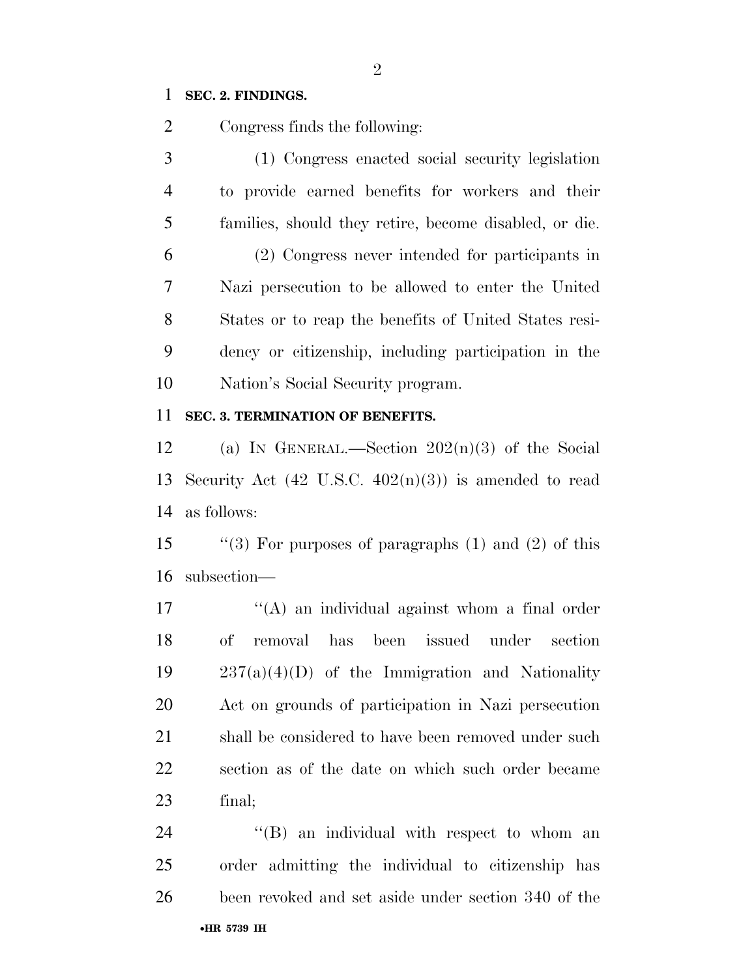# **SEC. 2. FINDINGS.**

Congress finds the following:

 (1) Congress enacted social security legislation to provide earned benefits for workers and their families, should they retire, become disabled, or die. (2) Congress never intended for participants in Nazi persecution to be allowed to enter the United States or to reap the benefits of United States resi- dency or citizenship, including participation in the Nation's Social Security program.

# **SEC. 3. TERMINATION OF BENEFITS.**

12 (a) IN GENERAL.—Section  $202(n)(3)$  of the Social 13 Security Act  $(42 \text{ U.S.C. } 402(n)(3))$  is amended to read as follows:

 ''(3) For purposes of paragraphs (1) and (2) of this subsection—

 $\mathcal{L}(\mathbf{A})$  an individual against whom a final order of removal has been issued under section  $237(a)(4)(D)$  of the Immigration and Nationality Act on grounds of participation in Nazi persecution 21 shall be considered to have been removed under such section as of the date on which such order became final;

•**HR 5739 IH** 24 "(B) an individual with respect to whom an order admitting the individual to citizenship has been revoked and set aside under section 340 of the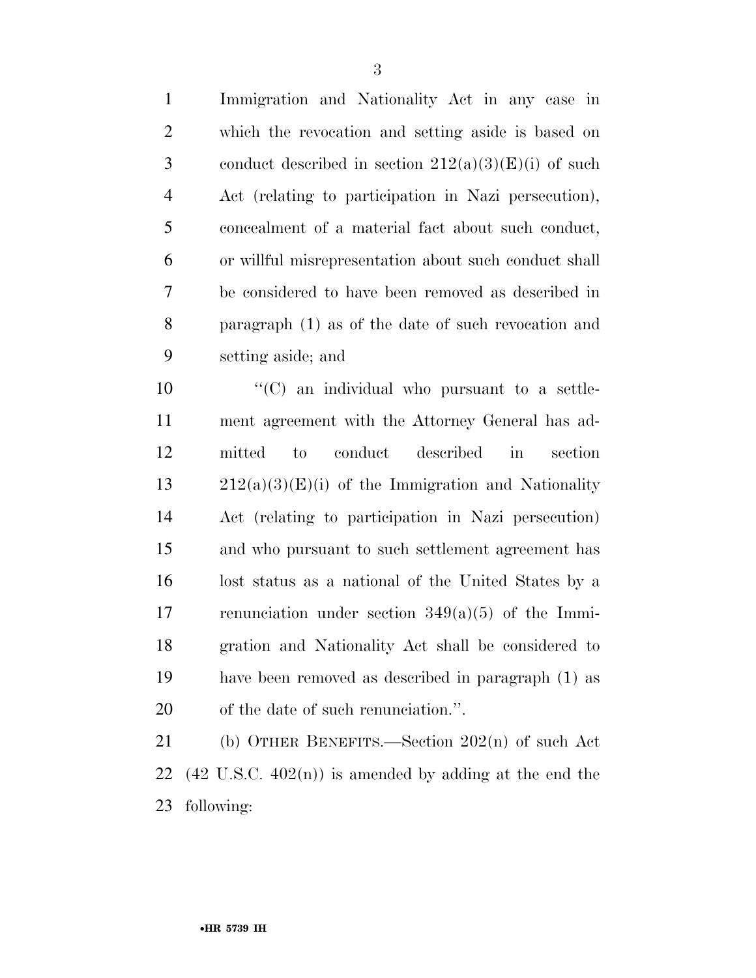which the revocation and setting aside is based on 3 conduct described in section  $212(a)(3)(E)(i)$  of such Act (relating to participation in Nazi persecution), concealment of a material fact about such conduct, or willful misrepresentation about such conduct shall be considered to have been removed as described in paragraph (1) as of the date of such revocation and setting aside; and

  $\text{``(C)}$  an individual who pursuant to a settle- ment agreement with the Attorney General has ad- mitted to conduct described in section  $13 \qquad 212(a)(3)(E)(i)$  of the Immigration and Nationality Act (relating to participation in Nazi persecution) and who pursuant to such settlement agreement has lost status as a national of the United States by a renunciation under section 349(a)(5) of the Immi- gration and Nationality Act shall be considered to have been removed as described in paragraph (1) as of the date of such renunciation.''.

 (b) OTHER BENEFITS.—Section 202(n) of such Act 22 (42 U.S.C.  $402(n)$ ) is amended by adding at the end the following: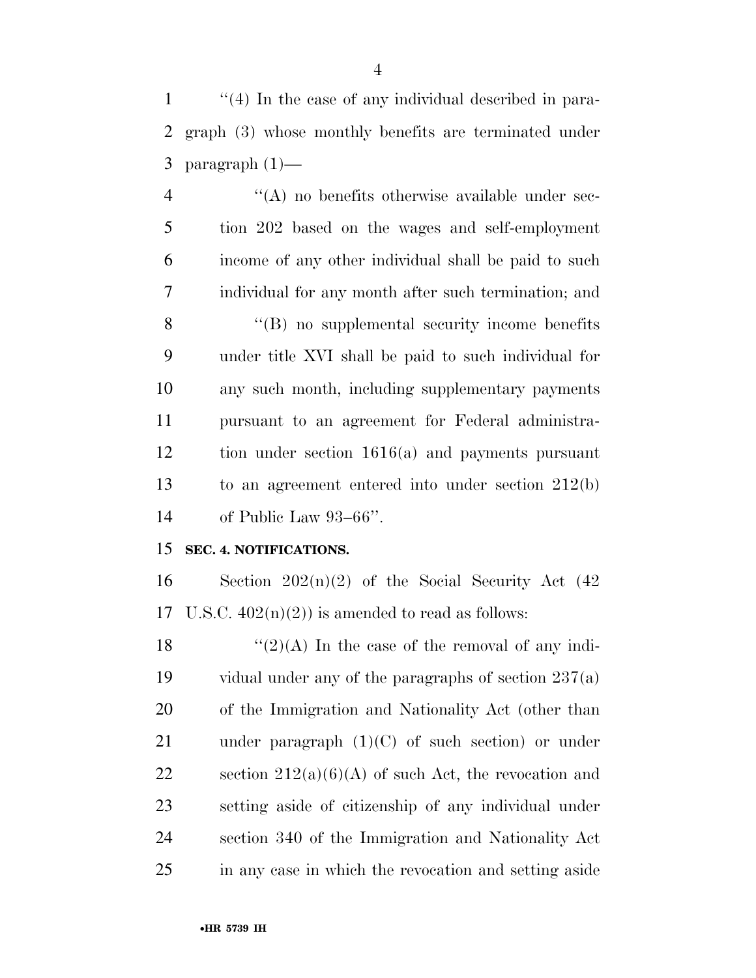1 ''(4) In the case of any individual described in para- graph (3) whose monthly benefits are terminated under paragraph (1)—

 ''(A) no benefits otherwise available under sec- tion 202 based on the wages and self-employment income of any other individual shall be paid to such individual for any month after such termination; and 8 "(B) no supplemental security income benefits under title XVI shall be paid to such individual for any such month, including supplementary payments pursuant to an agreement for Federal administra- tion under section 1616(a) and payments pursuant to an agreement entered into under section 212(b) of Public Law 93–66''.

# **SEC. 4. NOTIFICATIONS.**

16 Section  $202(n)(2)$  of the Social Security Act  $(42)$ 17 U.S.C.  $402(n)(2)$  is amended to read as follows:

 $\frac{12}{(2)}$  The case of the removal of any indi- vidual under any of the paragraphs of section 237(a) of the Immigration and Nationality Act (other than 21 under paragraph  $(1)(C)$  of such section) or under 22 section  $212(a)(6)(A)$  of such Act, the revocation and setting aside of citizenship of any individual under section 340 of the Immigration and Nationality Act in any case in which the revocation and setting aside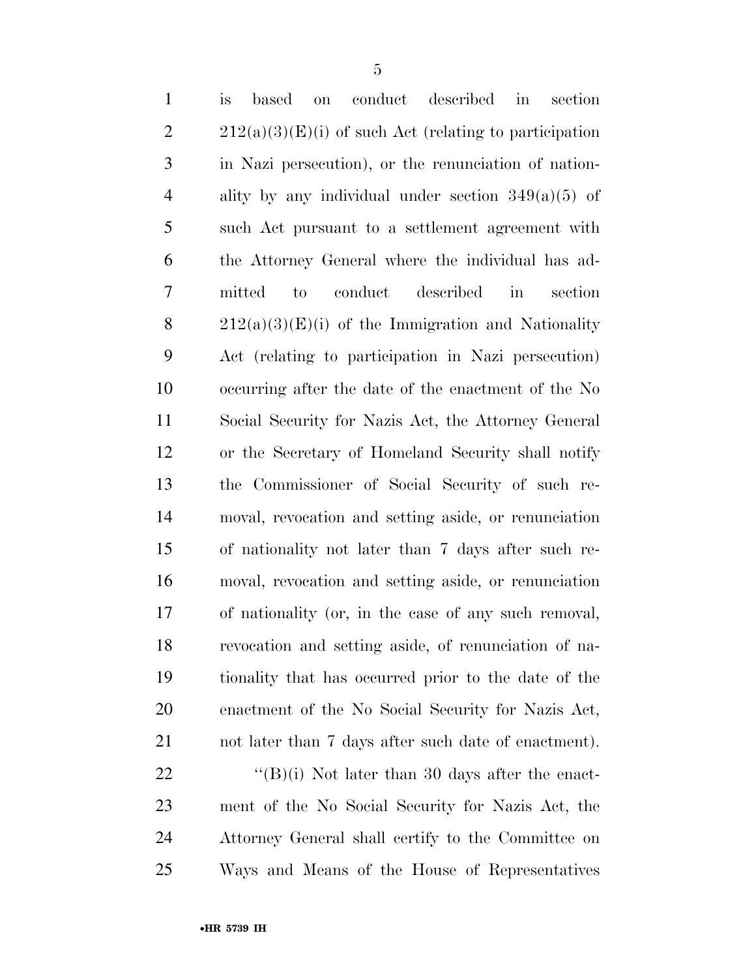| $\mathbf{1}$   | $\mathop{\mathrm{conduct}}$<br>described<br>section<br>is<br>based<br>$\operatorname{in}$<br><b>on</b> |
|----------------|--------------------------------------------------------------------------------------------------------|
| $\overline{2}$ | $212(a)(3)(E)(i)$ of such Act (relating to participation                                               |
| 3              | in Nazi persecution), or the renunciation of nation-                                                   |
| $\overline{4}$ | ality by any individual under section $349(a)(5)$ of                                                   |
| 5              | such Act pursuant to a settlement agreement with                                                       |
| 6              | the Attorney General where the individual has ad-                                                      |
| 7              | described<br>conduct<br>$\operatorname{in}$<br>section<br>mitted<br>to                                 |
| 8              | $212(a)(3)(E)(i)$ of the Immigration and Nationality                                                   |
| 9              | Act (relating to participation in Nazi persecution)                                                    |
| 10             | occurring after the date of the enactment of the No                                                    |
| 11             | Social Security for Nazis Act, the Attorney General                                                    |
| 12             | or the Secretary of Homeland Security shall notify                                                     |
| 13             | the Commissioner of Social Security of such re-                                                        |
| 14             | moval, revocation and setting aside, or renunciation                                                   |
| 15             | of nationality not later than 7 days after such re-                                                    |
| 16             | moval, revocation and setting aside, or renunciation                                                   |
| 17             | of nationality (or, in the case of any such removal,                                                   |
| 18             | revocation and setting aside, of renunciation of na-                                                   |
| 19             | tionality that has occurred prior to the date of the                                                   |
| <b>20</b>      | enactment of the No Social Security for Nazis Act,                                                     |
| 21             | not later than 7 days after such date of enactment).                                                   |
| 22             | " $(B)(i)$ Not later than 30 days after the enact-                                                     |
| 23             | ment of the No Social Security for Nazis Act, the                                                      |
| 24             | Attorney General shall certify to the Committee on                                                     |
| 25             | Ways and Means of the House of Representatives                                                         |